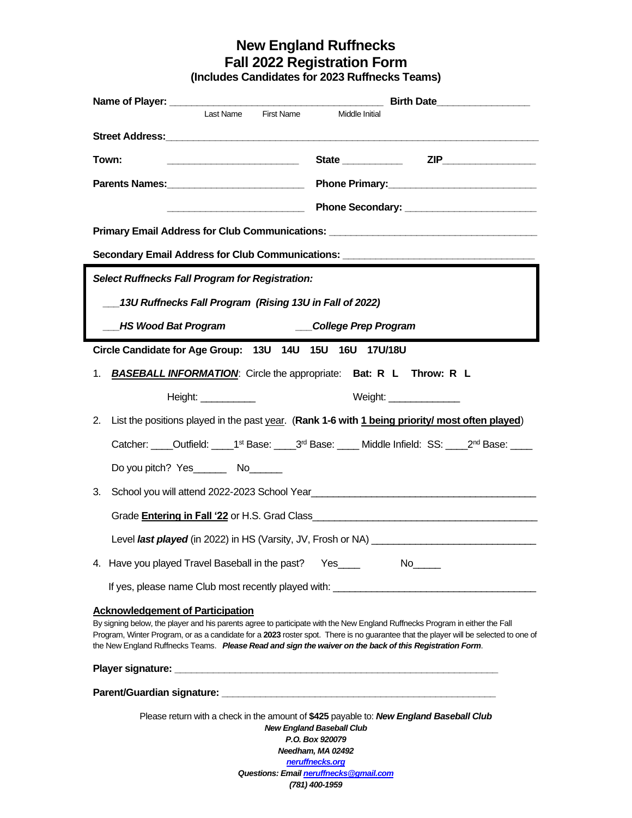## **New England Ruffnecks Fall 2022 Registration Form**

**(Includes Candidates for 2023 Ruffnecks Teams)**

|                                                                                                                                                                                                                                                                                                                                                                                                                          |                                                                                                                                                                                                                                      |                                                                                                                      |  | Birth Date                    |                                                                                                          |  |
|--------------------------------------------------------------------------------------------------------------------------------------------------------------------------------------------------------------------------------------------------------------------------------------------------------------------------------------------------------------------------------------------------------------------------|--------------------------------------------------------------------------------------------------------------------------------------------------------------------------------------------------------------------------------------|----------------------------------------------------------------------------------------------------------------------|--|-------------------------------|----------------------------------------------------------------------------------------------------------|--|
|                                                                                                                                                                                                                                                                                                                                                                                                                          |                                                                                                                                                                                                                                      | Last Name First Name                                                                                                 |  | Middle Initial                |                                                                                                          |  |
| Street Address: Management of the Contract of the Contract of the Contract of the Contract of the Contract of the Contract of the Contract of the Contract of the Contract of the Contract of the Contract of the Contract of                                                                                                                                                                                            |                                                                                                                                                                                                                                      |                                                                                                                      |  |                               |                                                                                                          |  |
| Town:                                                                                                                                                                                                                                                                                                                                                                                                                    |                                                                                                                                                                                                                                      |                                                                                                                      |  |                               |                                                                                                          |  |
|                                                                                                                                                                                                                                                                                                                                                                                                                          |                                                                                                                                                                                                                                      |                                                                                                                      |  |                               |                                                                                                          |  |
|                                                                                                                                                                                                                                                                                                                                                                                                                          |                                                                                                                                                                                                                                      | <u> Alexandria de la contrada de la contrada de la contrada de la contrada de la contrada de la contrada de la c</u> |  |                               |                                                                                                          |  |
| Primary Email Address for Club Communications: _________________________________                                                                                                                                                                                                                                                                                                                                         |                                                                                                                                                                                                                                      |                                                                                                                      |  |                               |                                                                                                          |  |
| Secondary Email Address for Club Communications: _______________________________                                                                                                                                                                                                                                                                                                                                         |                                                                                                                                                                                                                                      |                                                                                                                      |  |                               |                                                                                                          |  |
| <b>Select Ruffnecks Fall Program for Registration:</b>                                                                                                                                                                                                                                                                                                                                                                   |                                                                                                                                                                                                                                      |                                                                                                                      |  |                               |                                                                                                          |  |
| 13U Ruffnecks Fall Program (Rising 13U in Fall of 2022)                                                                                                                                                                                                                                                                                                                                                                  |                                                                                                                                                                                                                                      |                                                                                                                      |  |                               |                                                                                                          |  |
| <b>HS Wood Bat Program</b><br>__College Prep Program                                                                                                                                                                                                                                                                                                                                                                     |                                                                                                                                                                                                                                      |                                                                                                                      |  |                               |                                                                                                          |  |
|                                                                                                                                                                                                                                                                                                                                                                                                                          | Circle Candidate for Age Group: 13U 14U 15U 16U 17U/18U                                                                                                                                                                              |                                                                                                                      |  |                               |                                                                                                          |  |
| <b>BASEBALL INFORMATION:</b> Circle the appropriate: Bat: R L Throw: R L<br>1.                                                                                                                                                                                                                                                                                                                                           |                                                                                                                                                                                                                                      |                                                                                                                      |  |                               |                                                                                                          |  |
|                                                                                                                                                                                                                                                                                                                                                                                                                          |                                                                                                                                                                                                                                      |                                                                                                                      |  |                               |                                                                                                          |  |
|                                                                                                                                                                                                                                                                                                                                                                                                                          | Height: ____________                                                                                                                                                                                                                 |                                                                                                                      |  | <b>Weight:</b> ______________ |                                                                                                          |  |
|                                                                                                                                                                                                                                                                                                                                                                                                                          |                                                                                                                                                                                                                                      |                                                                                                                      |  |                               | 2. List the positions played in the past year. (Rank 1-6 with 1 being priority/ most often played)       |  |
|                                                                                                                                                                                                                                                                                                                                                                                                                          |                                                                                                                                                                                                                                      |                                                                                                                      |  |                               | Catcher: Outfield: 1 <sup>st</sup> Base: 3 <sup>rd</sup> Base: Middle Infield: SS: 2 <sup>nd</sup> Base: |  |
|                                                                                                                                                                                                                                                                                                                                                                                                                          |                                                                                                                                                                                                                                      |                                                                                                                      |  |                               |                                                                                                          |  |
| 3.                                                                                                                                                                                                                                                                                                                                                                                                                       | School you will attend 2022-2023 School Year <b>Contract Contract Contract Contract Contract Contract Contract Contract Contract Contract Contract Contract Contract Contract Contract Contract Contract Contract Contract Contr</b> |                                                                                                                      |  |                               |                                                                                                          |  |
|                                                                                                                                                                                                                                                                                                                                                                                                                          |                                                                                                                                                                                                                                      |                                                                                                                      |  |                               |                                                                                                          |  |
|                                                                                                                                                                                                                                                                                                                                                                                                                          |                                                                                                                                                                                                                                      |                                                                                                                      |  |                               |                                                                                                          |  |
| 4. Have you played Travel Baseball in the past?                                                                                                                                                                                                                                                                                                                                                                          |                                                                                                                                                                                                                                      |                                                                                                                      |  |                               |                                                                                                          |  |
| If yes, please name Club most recently played with: ____________________________                                                                                                                                                                                                                                                                                                                                         |                                                                                                                                                                                                                                      |                                                                                                                      |  |                               |                                                                                                          |  |
| <b>Acknowledgement of Participation</b><br>By signing below, the player and his parents agree to participate with the New England Ruffnecks Program in either the Fall<br>Program, Winter Program, or as a candidate for a 2023 roster spot. There is no guarantee that the player will be selected to one of<br>the New England Ruffnecks Teams. Please Read and sign the waiver on the back of this Registration Form. |                                                                                                                                                                                                                                      |                                                                                                                      |  |                               |                                                                                                          |  |
|                                                                                                                                                                                                                                                                                                                                                                                                                          |                                                                                                                                                                                                                                      |                                                                                                                      |  |                               |                                                                                                          |  |
|                                                                                                                                                                                                                                                                                                                                                                                                                          |                                                                                                                                                                                                                                      |                                                                                                                      |  |                               |                                                                                                          |  |
| Please return with a check in the amount of \$425 payable to: New England Baseball Club<br><b>New England Baseball Club</b><br>P.O. Box 920079<br>Needham, MA 02492<br>neruffnecks.org                                                                                                                                                                                                                                   |                                                                                                                                                                                                                                      |                                                                                                                      |  |                               |                                                                                                          |  |
| Questions: Email neruffnecks@gmail.com                                                                                                                                                                                                                                                                                                                                                                                   |                                                                                                                                                                                                                                      |                                                                                                                      |  |                               |                                                                                                          |  |

*(781) 400-1959*